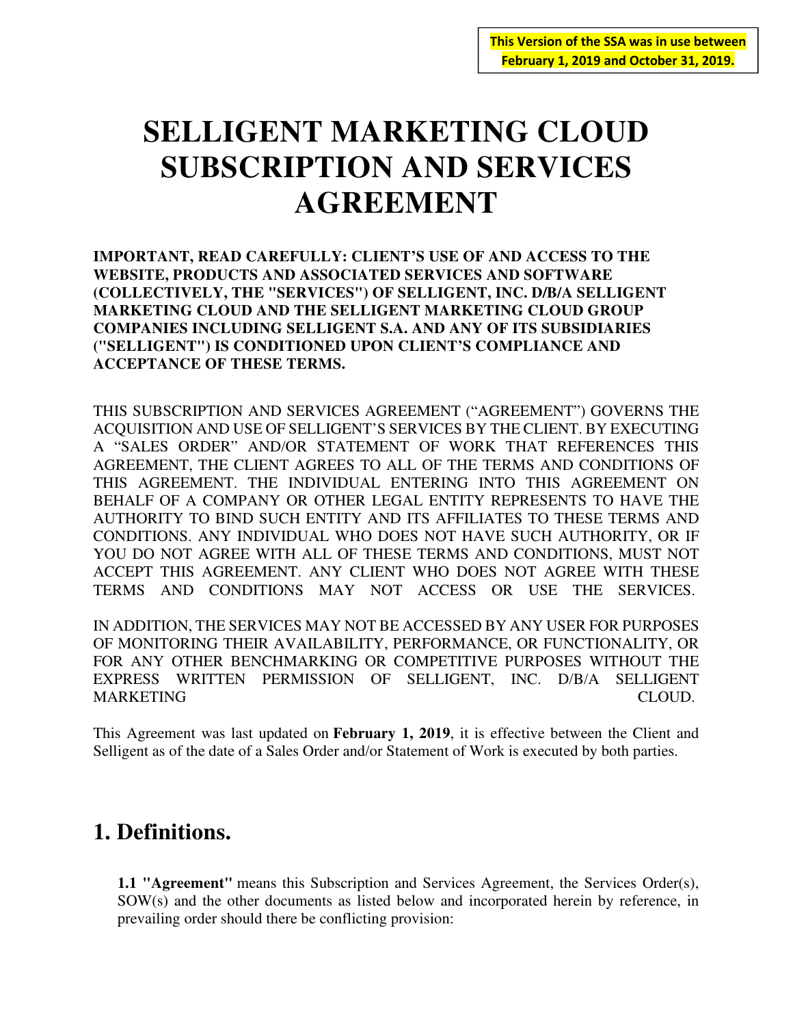# **SELLIGENT MARKETING CLOUD SUBSCRIPTION AND SERVICES AGREEMENT**

**IMPORTANT, READ CAREFULLY: CLIENT'S USE OF AND ACCESS TO THE WEBSITE, PRODUCTS AND ASSOCIATED SERVICES AND SOFTWARE (COLLECTIVELY, THE "SERVICES") OF SELLIGENT, INC. D/B/A SELLIGENT MARKETING CLOUD AND THE SELLIGENT MARKETING CLOUD GROUP COMPANIES INCLUDING SELLIGENT S.A. AND ANY OF ITS SUBSIDIARIES ("SELLIGENT") IS CONDITIONED UPON CLIENT'S COMPLIANCE AND ACCEPTANCE OF THESE TERMS.** 

THIS SUBSCRIPTION AND SERVICES AGREEMENT ("AGREEMENT") GOVERNS THE ACQUISITION AND USE OF SELLIGENT'S SERVICES BY THE CLIENT. BY EXECUTING A "SALES ORDER" AND/OR STATEMENT OF WORK THAT REFERENCES THIS AGREEMENT, THE CLIENT AGREES TO ALL OF THE TERMS AND CONDITIONS OF THIS AGREEMENT. THE INDIVIDUAL ENTERING INTO THIS AGREEMENT ON BEHALF OF A COMPANY OR OTHER LEGAL ENTITY REPRESENTS TO HAVE THE AUTHORITY TO BIND SUCH ENTITY AND ITS AFFILIATES TO THESE TERMS AND CONDITIONS. ANY INDIVIDUAL WHO DOES NOT HAVE SUCH AUTHORITY, OR IF YOU DO NOT AGREE WITH ALL OF THESE TERMS AND CONDITIONS, MUST NOT ACCEPT THIS AGREEMENT. ANY CLIENT WHO DOES NOT AGREE WITH THESE TERMS AND CONDITIONS MAY NOT ACCESS OR USE THE SERVICES.

IN ADDITION, THE SERVICES MAY NOT BE ACCESSED BY ANY USER FOR PURPOSES OF MONITORING THEIR AVAILABILITY, PERFORMANCE, OR FUNCTIONALITY, OR FOR ANY OTHER BENCHMARKING OR COMPETITIVE PURPOSES WITHOUT THE EXPRESS WRITTEN PERMISSION OF SELLIGENT, INC. D/B/A SELLIGENT MARKETING CLOUD.

This Agreement was last updated on **February 1, 2019**, it is effective between the Client and Selligent as of the date of a Sales Order and/or Statement of Work is executed by both parties.

# **1. Definitions.**

**1.1 "Agreement"** means this Subscription and Services Agreement, the Services Order(s), SOW(s) and the other documents as listed below and incorporated herein by reference, in prevailing order should there be conflicting provision: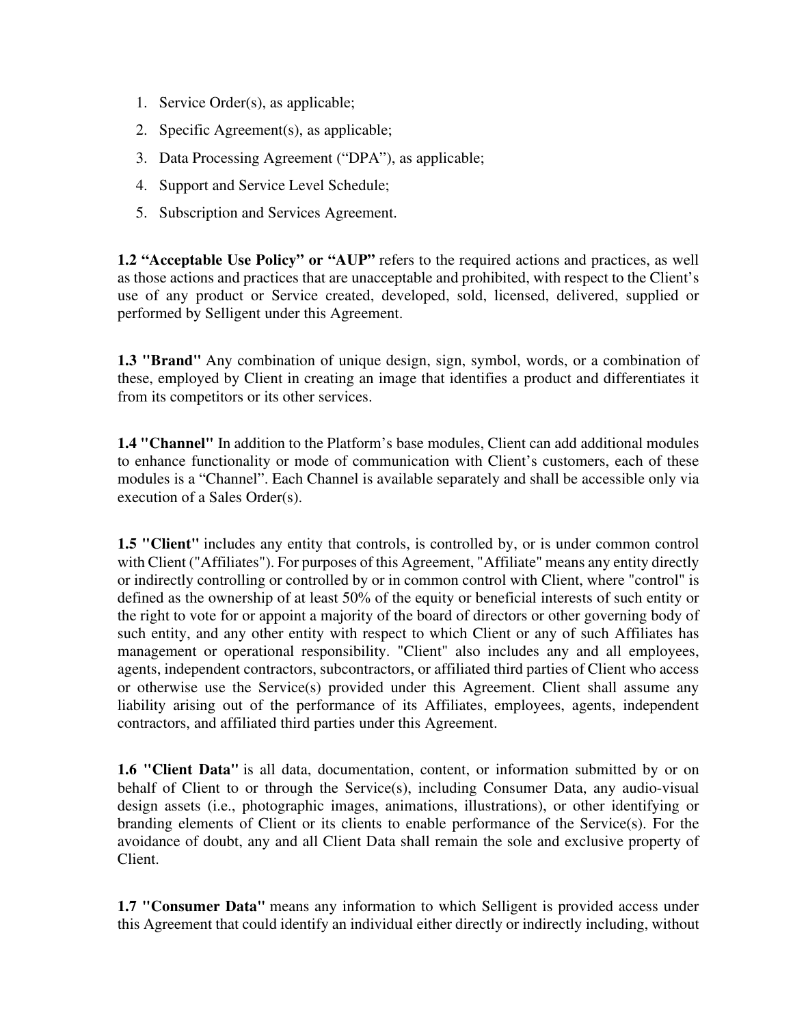- 1. Service Order(s), as applicable;
- 2. Specific Agreement(s), as applicable;
- 3. Data Processing Agreement ("DPA"), as applicable;
- 4. Support and Service Level Schedule;
- 5. Subscription and Services Agreement.

**1.2 "Acceptable Use Policy" or "AUP"** refers to the required actions and practices, as well as those actions and practices that are unacceptable and prohibited, with respect to the Client's use of any product or Service created, developed, sold, licensed, delivered, supplied or performed by Selligent under this Agreement.

**1.3 "Brand"** Any combination of unique design, sign, symbol, words, or a combination of these, employed by Client in creating an image that identifies a product and differentiates it from its competitors or its other services.

**1.4 "Channel"** In addition to the Platform's base modules, Client can add additional modules to enhance functionality or mode of communication with Client's customers, each of these modules is a "Channel". Each Channel is available separately and shall be accessible only via execution of a Sales Order(s).

**1.5 "Client"** includes any entity that controls, is controlled by, or is under common control with Client ("Affiliates"). For purposes of this Agreement, "Affiliate" means any entity directly or indirectly controlling or controlled by or in common control with Client, where "control" is defined as the ownership of at least 50% of the equity or beneficial interests of such entity or the right to vote for or appoint a majority of the board of directors or other governing body of such entity, and any other entity with respect to which Client or any of such Affiliates has management or operational responsibility. "Client" also includes any and all employees, agents, independent contractors, subcontractors, or affiliated third parties of Client who access or otherwise use the Service(s) provided under this Agreement. Client shall assume any liability arising out of the performance of its Affiliates, employees, agents, independent contractors, and affiliated third parties under this Agreement.

1.6 "Client Data" is all data, documentation, content, or information submitted by or on behalf of Client to or through the Service(s), including Consumer Data, any audio-visual design assets (i.e., photographic images, animations, illustrations), or other identifying or branding elements of Client or its clients to enable performance of the Service(s). For the avoidance of doubt, any and all Client Data shall remain the sole and exclusive property of Client.

**1.7 "Consumer Data"** means any information to which Selligent is provided access under this Agreement that could identify an individual either directly or indirectly including, without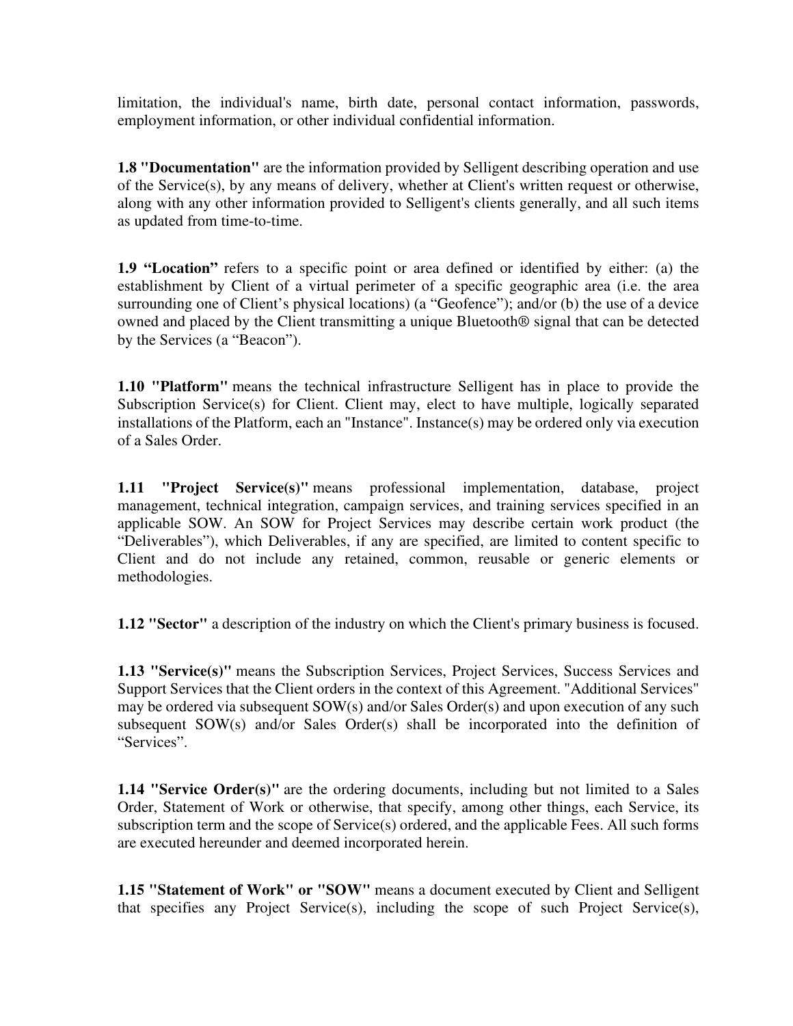limitation, the individual's name, birth date, personal contact information, passwords, employment information, or other individual confidential information.

**1.8 "Documentation"** are the information provided by Selligent describing operation and use of the Service(s), by any means of delivery, whether at Client's written request or otherwise, along with any other information provided to Selligent's clients generally, and all such items as updated from time-to-time.

**1.9 "Location"** refers to a specific point or area defined or identified by either: (a) the establishment by Client of a virtual perimeter of a specific geographic area (i.e. the area surrounding one of Client's physical locations) (a "Geofence"); and/or (b) the use of a device owned and placed by the Client transmitting a unique Bluetooth® signal that can be detected by the Services (a "Beacon").

**1.10 "Platform"** means the technical infrastructure Selligent has in place to provide the Subscription Service(s) for Client. Client may, elect to have multiple, logically separated installations of the Platform, each an "Instance". Instance(s) may be ordered only via execution of a Sales Order.

**1.11 "Project Service(s)"** means professional implementation, database, project management, technical integration, campaign services, and training services specified in an applicable SOW. An SOW for Project Services may describe certain work product (the "Deliverables"), which Deliverables, if any are specified, are limited to content specific to Client and do not include any retained, common, reusable or generic elements or methodologies.

**1.12 "Sector"** a description of the industry on which the Client's primary business is focused.

**1.13 "Service(s)"** means the Subscription Services, Project Services, Success Services and Support Services that the Client orders in the context of this Agreement. "Additional Services" may be ordered via subsequent SOW(s) and/or Sales Order(s) and upon execution of any such subsequent SOW(s) and/or Sales Order(s) shall be incorporated into the definition of "Services".

**1.14 "Service Order(s)"** are the ordering documents, including but not limited to a Sales Order, Statement of Work or otherwise, that specify, among other things, each Service, its subscription term and the scope of Service(s) ordered, and the applicable Fees. All such forms are executed hereunder and deemed incorporated herein.

**1.15 "Statement of Work" or "SOW"** means a document executed by Client and Selligent that specifies any Project Service(s), including the scope of such Project Service(s),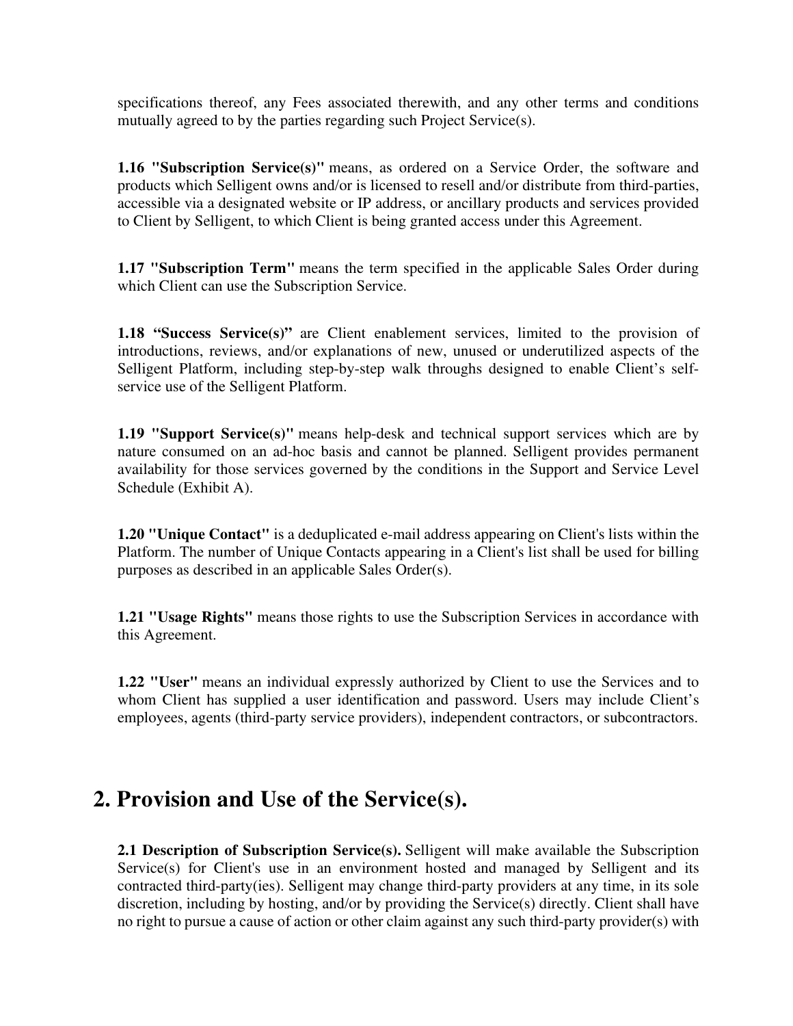specifications thereof, any Fees associated therewith, and any other terms and conditions mutually agreed to by the parties regarding such Project Service(s).

**1.16 "Subscription Service(s)"** means, as ordered on a Service Order, the software and products which Selligent owns and/or is licensed to resell and/or distribute from third-parties, accessible via a designated website or IP address, or ancillary products and services provided to Client by Selligent, to which Client is being granted access under this Agreement.

**1.17 "Subscription Term"** means the term specified in the applicable Sales Order during which Client can use the Subscription Service.

**1.18 "Success Service(s)"** are Client enablement services, limited to the provision of introductions, reviews, and/or explanations of new, unused or underutilized aspects of the Selligent Platform, including step-by-step walk throughs designed to enable Client's selfservice use of the Selligent Platform.

**1.19 "Support Service(s)"** means help-desk and technical support services which are by nature consumed on an ad-hoc basis and cannot be planned. Selligent provides permanent availability for those services governed by the conditions in the Support and Service Level Schedule (Exhibit A).

**1.20 "Unique Contact"** is a deduplicated e-mail address appearing on Client's lists within the Platform. The number of Unique Contacts appearing in a Client's list shall be used for billing purposes as described in an applicable Sales Order(s).

**1.21 "Usage Rights"** means those rights to use the Subscription Services in accordance with this Agreement.

**1.22 "User"** means an individual expressly authorized by Client to use the Services and to whom Client has supplied a user identification and password. Users may include Client's employees, agents (third-party service providers), independent contractors, or subcontractors.

## **2. Provision and Use of the Service(s).**

**2.1 Description of Subscription Service(s).** Selligent will make available the Subscription Service(s) for Client's use in an environment hosted and managed by Selligent and its contracted third-party(ies). Selligent may change third-party providers at any time, in its sole discretion, including by hosting, and/or by providing the Service(s) directly. Client shall have no right to pursue a cause of action or other claim against any such third-party provider(s) with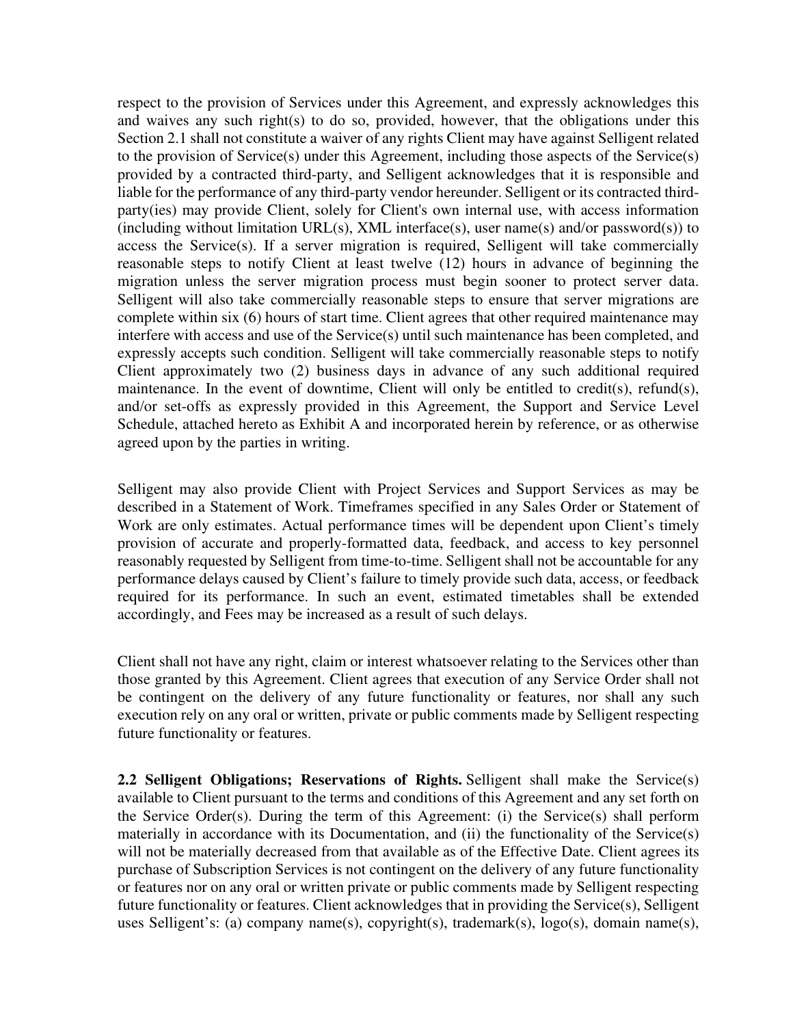respect to the provision of Services under this Agreement, and expressly acknowledges this and waives any such right(s) to do so, provided, however, that the obligations under this Section 2.1 shall not constitute a waiver of any rights Client may have against Selligent related to the provision of Service(s) under this Agreement, including those aspects of the Service(s) provided by a contracted third-party, and Selligent acknowledges that it is responsible and liable for the performance of any third-party vendor hereunder. Selligent or its contracted thirdparty(ies) may provide Client, solely for Client's own internal use, with access information (including without limitation URL(s), XML interface(s), user name(s) and/or password(s)) to access the Service(s). If a server migration is required, Selligent will take commercially reasonable steps to notify Client at least twelve (12) hours in advance of beginning the migration unless the server migration process must begin sooner to protect server data. Selligent will also take commercially reasonable steps to ensure that server migrations are complete within six (6) hours of start time. Client agrees that other required maintenance may interfere with access and use of the Service(s) until such maintenance has been completed, and expressly accepts such condition. Selligent will take commercially reasonable steps to notify Client approximately two (2) business days in advance of any such additional required maintenance. In the event of downtime, Client will only be entitled to credit(s), refund(s), and/or set-offs as expressly provided in this Agreement, the Support and Service Level Schedule, attached hereto as Exhibit A and incorporated herein by reference, or as otherwise agreed upon by the parties in writing.

Selligent may also provide Client with Project Services and Support Services as may be described in a Statement of Work. Timeframes specified in any Sales Order or Statement of Work are only estimates. Actual performance times will be dependent upon Client's timely provision of accurate and properly-formatted data, feedback, and access to key personnel reasonably requested by Selligent from time-to-time. Selligent shall not be accountable for any performance delays caused by Client's failure to timely provide such data, access, or feedback required for its performance. In such an event, estimated timetables shall be extended accordingly, and Fees may be increased as a result of such delays.

Client shall not have any right, claim or interest whatsoever relating to the Services other than those granted by this Agreement. Client agrees that execution of any Service Order shall not be contingent on the delivery of any future functionality or features, nor shall any such execution rely on any oral or written, private or public comments made by Selligent respecting future functionality or features.

**2.2 Selligent Obligations; Reservations of Rights.** Selligent shall make the Service(s) available to Client pursuant to the terms and conditions of this Agreement and any set forth on the Service Order(s). During the term of this Agreement: (i) the Service(s) shall perform materially in accordance with its Documentation, and (ii) the functionality of the Service(s) will not be materially decreased from that available as of the Effective Date. Client agrees its purchase of Subscription Services is not contingent on the delivery of any future functionality or features nor on any oral or written private or public comments made by Selligent respecting future functionality or features. Client acknowledges that in providing the Service(s), Selligent uses Selligent's: (a) company name(s), copyright(s), trademark(s), logo(s), domain name(s),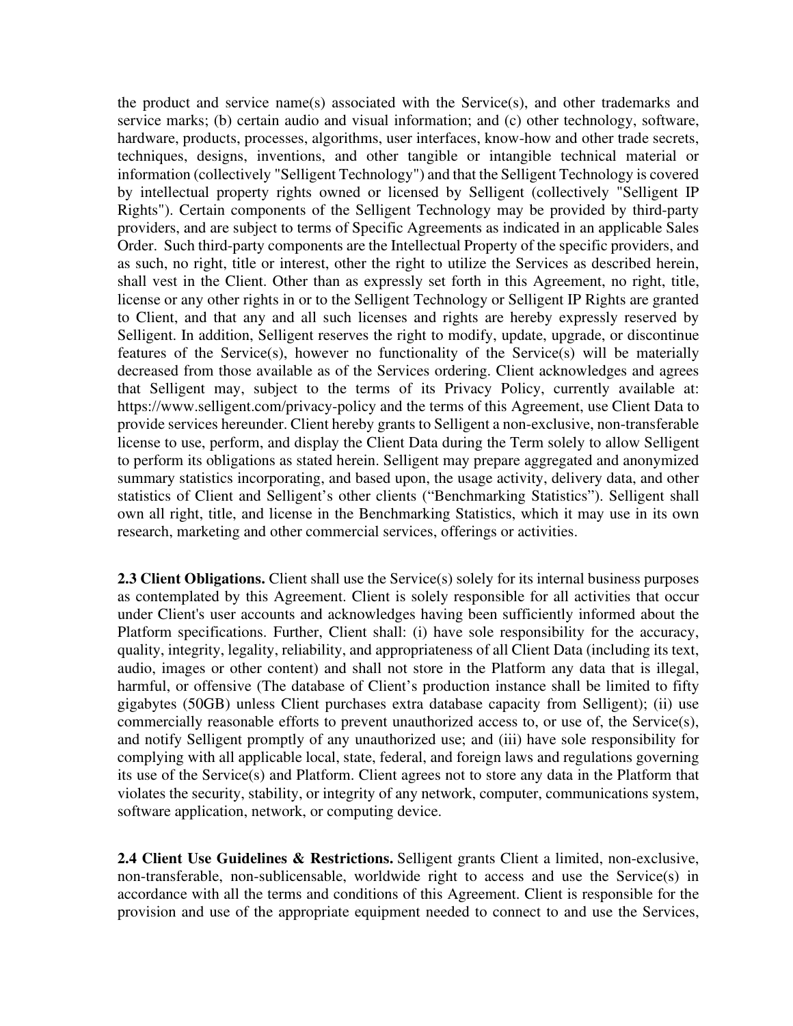the product and service name(s) associated with the Service(s), and other trademarks and service marks; (b) certain audio and visual information; and (c) other technology, software, hardware, products, processes, algorithms, user interfaces, know-how and other trade secrets, techniques, designs, inventions, and other tangible or intangible technical material or information (collectively "Selligent Technology") and that the Selligent Technology is covered by intellectual property rights owned or licensed by Selligent (collectively "Selligent IP Rights"). Certain components of the Selligent Technology may be provided by third-party providers, and are subject to terms of Specific Agreements as indicated in an applicable Sales Order. Such third-party components are the Intellectual Property of the specific providers, and as such, no right, title or interest, other the right to utilize the Services as described herein, shall vest in the Client. Other than as expressly set forth in this Agreement, no right, title, license or any other rights in or to the Selligent Technology or Selligent IP Rights are granted to Client, and that any and all such licenses and rights are hereby expressly reserved by Selligent. In addition, Selligent reserves the right to modify, update, upgrade, or discontinue features of the Service(s), however no functionality of the Service(s) will be materially decreased from those available as of the Services ordering. Client acknowledges and agrees that Selligent may, subject to the terms of its Privacy Policy, currently available at: https://www.selligent.com/privacy-policy and the terms of this Agreement, use Client Data to provide services hereunder. Client hereby grants to Selligent a non-exclusive, non-transferable license to use, perform, and display the Client Data during the Term solely to allow Selligent to perform its obligations as stated herein. Selligent may prepare aggregated and anonymized summary statistics incorporating, and based upon, the usage activity, delivery data, and other statistics of Client and Selligent's other clients ("Benchmarking Statistics"). Selligent shall own all right, title, and license in the Benchmarking Statistics, which it may use in its own research, marketing and other commercial services, offerings or activities.

**2.3 Client Obligations.** Client shall use the Service(s) solely for its internal business purposes as contemplated by this Agreement. Client is solely responsible for all activities that occur under Client's user accounts and acknowledges having been sufficiently informed about the Platform specifications. Further, Client shall: (i) have sole responsibility for the accuracy, quality, integrity, legality, reliability, and appropriateness of all Client Data (including its text, audio, images or other content) and shall not store in the Platform any data that is illegal, harmful, or offensive (The database of Client's production instance shall be limited to fifty gigabytes (50GB) unless Client purchases extra database capacity from Selligent); (ii) use commercially reasonable efforts to prevent unauthorized access to, or use of, the Service(s), and notify Selligent promptly of any unauthorized use; and (iii) have sole responsibility for complying with all applicable local, state, federal, and foreign laws and regulations governing its use of the Service(s) and Platform. Client agrees not to store any data in the Platform that violates the security, stability, or integrity of any network, computer, communications system, software application, network, or computing device.

2.4 Client Use Guidelines & Restrictions. Selligent grants Client a limited, non-exclusive, non-transferable, non-sublicensable, worldwide right to access and use the Service(s) in accordance with all the terms and conditions of this Agreement. Client is responsible for the provision and use of the appropriate equipment needed to connect to and use the Services,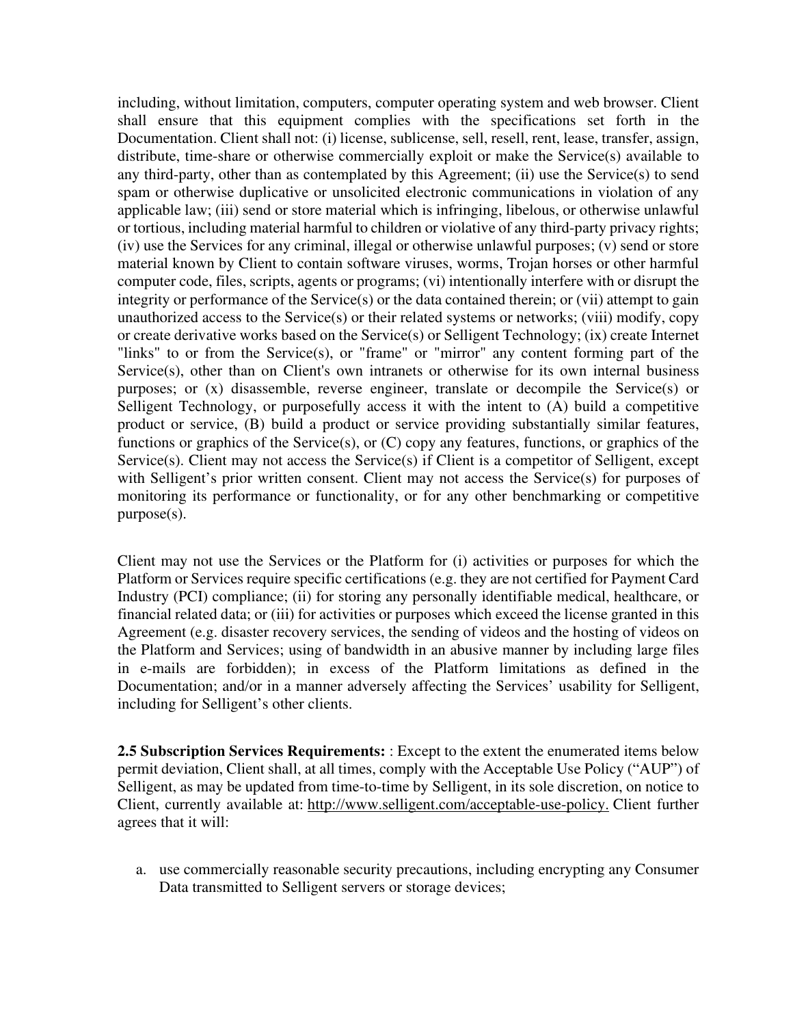including, without limitation, computers, computer operating system and web browser. Client shall ensure that this equipment complies with the specifications set forth in the Documentation. Client shall not: (i) license, sublicense, sell, resell, rent, lease, transfer, assign, distribute, time-share or otherwise commercially exploit or make the Service(s) available to any third-party, other than as contemplated by this Agreement; (ii) use the Service(s) to send spam or otherwise duplicative or unsolicited electronic communications in violation of any applicable law; (iii) send or store material which is infringing, libelous, or otherwise unlawful or tortious, including material harmful to children or violative of any third-party privacy rights; (iv) use the Services for any criminal, illegal or otherwise unlawful purposes; (v) send or store material known by Client to contain software viruses, worms, Trojan horses or other harmful computer code, files, scripts, agents or programs; (vi) intentionally interfere with or disrupt the integrity or performance of the Service(s) or the data contained therein; or (vii) attempt to gain unauthorized access to the Service(s) or their related systems or networks; (viii) modify, copy or create derivative works based on the Service(s) or Selligent Technology; (ix) create Internet "links" to or from the Service(s), or "frame" or "mirror" any content forming part of the Service(s), other than on Client's own intranets or otherwise for its own internal business purposes; or (x) disassemble, reverse engineer, translate or decompile the Service(s) or Selligent Technology, or purposefully access it with the intent to (A) build a competitive product or service, (B) build a product or service providing substantially similar features, functions or graphics of the Service(s), or (C) copy any features, functions, or graphics of the Service(s). Client may not access the Service(s) if Client is a competitor of Selligent, except with Selligent's prior written consent. Client may not access the Service(s) for purposes of monitoring its performance or functionality, or for any other benchmarking or competitive purpose(s).

Client may not use the Services or the Platform for (i) activities or purposes for which the Platform or Services require specific certifications (e.g. they are not certified for Payment Card Industry (PCI) compliance; (ii) for storing any personally identifiable medical, healthcare, or financial related data; or (iii) for activities or purposes which exceed the license granted in this Agreement (e.g. disaster recovery services, the sending of videos and the hosting of videos on the Platform and Services; using of bandwidth in an abusive manner by including large files in e-mails are forbidden); in excess of the Platform limitations as defined in the Documentation; and/or in a manner adversely affecting the Services' usability for Selligent, including for Selligent's other clients.

**2.5 Subscription Services Requirements:** : Except to the extent the enumerated items below permit deviation, Client shall, at all times, comply with the Acceptable Use Policy ("AUP") of Selligent, as may be updated from time-to-time by Selligent, in its sole discretion, on notice to Client, currently available at: http://www.selligent.com/acceptable-use-policy. Client further agrees that it will:

a. use commercially reasonable security precautions, including encrypting any Consumer Data transmitted to Selligent servers or storage devices;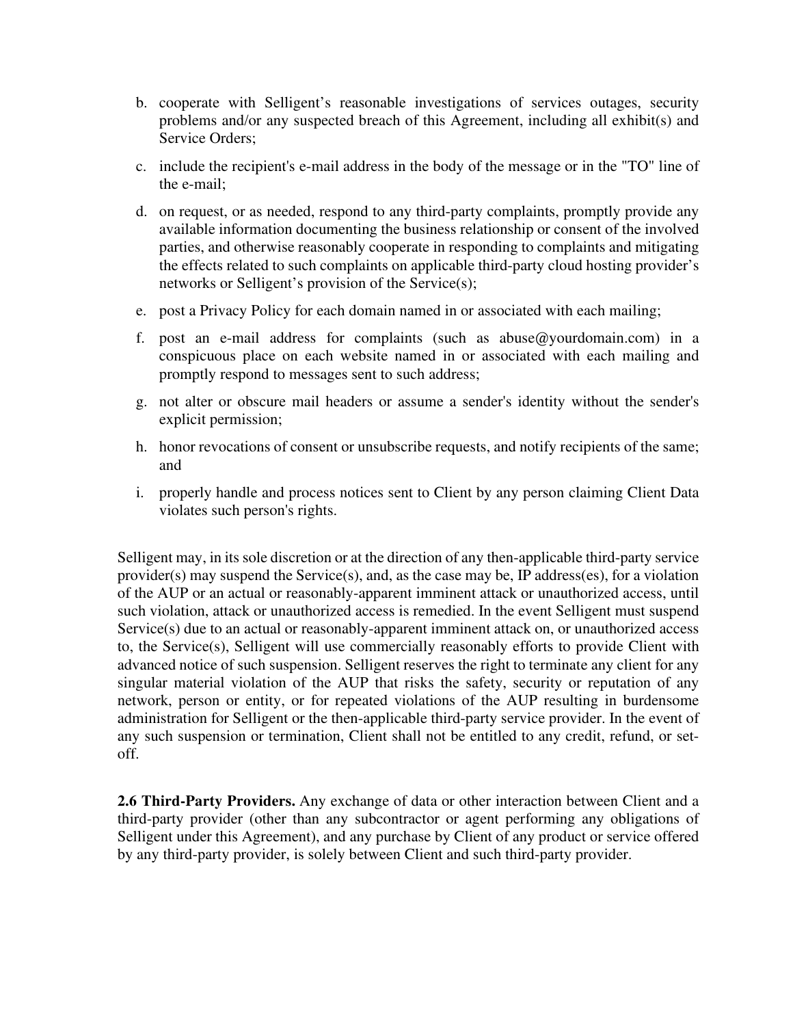- b. cooperate with Selligent's reasonable investigations of services outages, security problems and/or any suspected breach of this Agreement, including all exhibit(s) and Service Orders;
- c. include the recipient's e-mail address in the body of the message or in the "TO" line of the e-mail;
- d. on request, or as needed, respond to any third-party complaints, promptly provide any available information documenting the business relationship or consent of the involved parties, and otherwise reasonably cooperate in responding to complaints and mitigating the effects related to such complaints on applicable third-party cloud hosting provider's networks or Selligent's provision of the Service(s);
- e. post a Privacy Policy for each domain named in or associated with each mailing;
- f. post an e-mail address for complaints (such as abuse@yourdomain.com) in a conspicuous place on each website named in or associated with each mailing and promptly respond to messages sent to such address;
- g. not alter or obscure mail headers or assume a sender's identity without the sender's explicit permission;
- h. honor revocations of consent or unsubscribe requests, and notify recipients of the same; and
- i. properly handle and process notices sent to Client by any person claiming Client Data violates such person's rights.

Selligent may, in its sole discretion or at the direction of any then-applicable third-party service provider(s) may suspend the Service(s), and, as the case may be, IP address(es), for a violation of the AUP or an actual or reasonably-apparent imminent attack or unauthorized access, until such violation, attack or unauthorized access is remedied. In the event Selligent must suspend Service(s) due to an actual or reasonably-apparent imminent attack on, or unauthorized access to, the Service(s), Selligent will use commercially reasonably efforts to provide Client with advanced notice of such suspension. Selligent reserves the right to terminate any client for any singular material violation of the AUP that risks the safety, security or reputation of any network, person or entity, or for repeated violations of the AUP resulting in burdensome administration for Selligent or the then-applicable third-party service provider. In the event of any such suspension or termination, Client shall not be entitled to any credit, refund, or setoff.

**2.6 Third-Party Providers.** Any exchange of data or other interaction between Client and a third-party provider (other than any subcontractor or agent performing any obligations of Selligent under this Agreement), and any purchase by Client of any product or service offered by any third-party provider, is solely between Client and such third-party provider.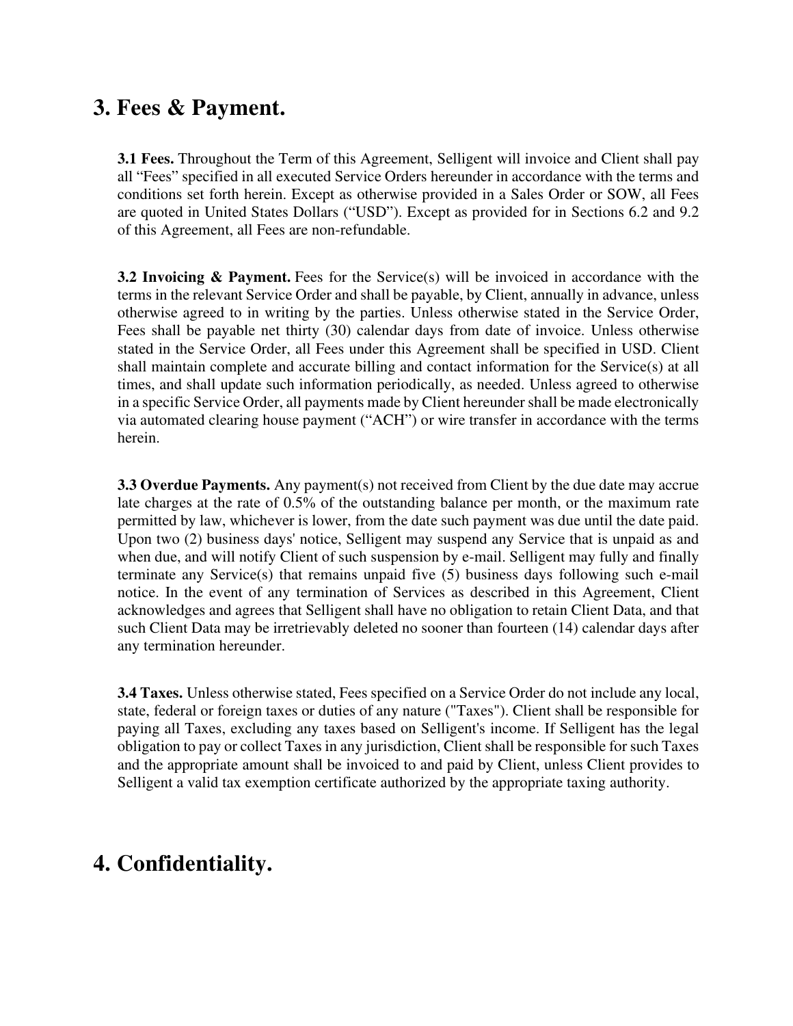## **3. Fees & Payment.**

**3.1 Fees.** Throughout the Term of this Agreement, Selligent will invoice and Client shall pay all "Fees" specified in all executed Service Orders hereunder in accordance with the terms and conditions set forth herein. Except as otherwise provided in a Sales Order or SOW, all Fees are quoted in United States Dollars ("USD"). Except as provided for in Sections 6.2 and 9.2 of this Agreement, all Fees are non-refundable.

**3.2 Invoicing & Payment.** Fees for the Service(s) will be invoiced in accordance with the terms in the relevant Service Order and shall be payable, by Client, annually in advance, unless otherwise agreed to in writing by the parties. Unless otherwise stated in the Service Order, Fees shall be payable net thirty (30) calendar days from date of invoice. Unless otherwise stated in the Service Order, all Fees under this Agreement shall be specified in USD. Client shall maintain complete and accurate billing and contact information for the Service(s) at all times, and shall update such information periodically, as needed. Unless agreed to otherwise in a specific Service Order, all payments made by Client hereunder shall be made electronically via automated clearing house payment ("ACH") or wire transfer in accordance with the terms herein.

**3.3 Overdue Payments.** Any payment(s) not received from Client by the due date may accrue late charges at the rate of 0.5% of the outstanding balance per month, or the maximum rate permitted by law, whichever is lower, from the date such payment was due until the date paid. Upon two (2) business days' notice, Selligent may suspend any Service that is unpaid as and when due, and will notify Client of such suspension by e-mail. Selligent may fully and finally terminate any Service(s) that remains unpaid five (5) business days following such e-mail notice. In the event of any termination of Services as described in this Agreement, Client acknowledges and agrees that Selligent shall have no obligation to retain Client Data, and that such Client Data may be irretrievably deleted no sooner than fourteen (14) calendar days after any termination hereunder.

**3.4 Taxes.** Unless otherwise stated, Fees specified on a Service Order do not include any local, state, federal or foreign taxes or duties of any nature ("Taxes"). Client shall be responsible for paying all Taxes, excluding any taxes based on Selligent's income. If Selligent has the legal obligation to pay or collect Taxes in any jurisdiction, Client shall be responsible for such Taxes and the appropriate amount shall be invoiced to and paid by Client, unless Client provides to Selligent a valid tax exemption certificate authorized by the appropriate taxing authority.

# **4. Confidentiality.**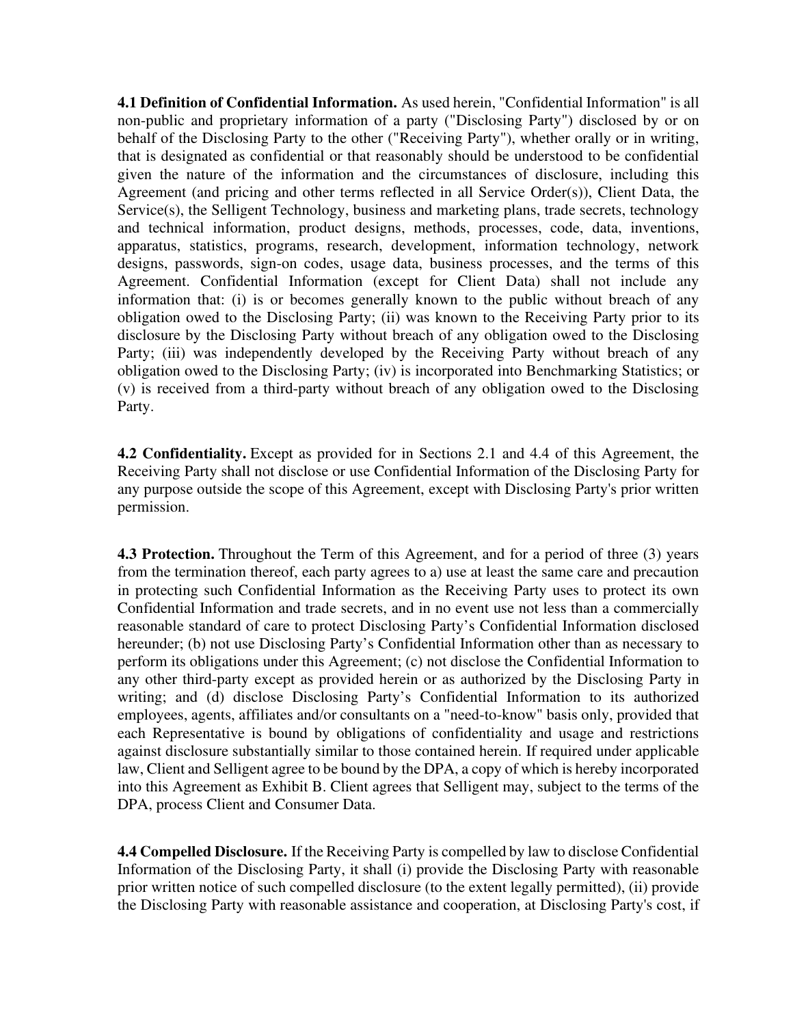**4.1 Definition of Confidential Information.** As used herein, "Confidential Information" is all non-public and proprietary information of a party ("Disclosing Party") disclosed by or on behalf of the Disclosing Party to the other ("Receiving Party"), whether orally or in writing, that is designated as confidential or that reasonably should be understood to be confidential given the nature of the information and the circumstances of disclosure, including this Agreement (and pricing and other terms reflected in all Service Order(s)), Client Data, the Service(s), the Selligent Technology, business and marketing plans, trade secrets, technology and technical information, product designs, methods, processes, code, data, inventions, apparatus, statistics, programs, research, development, information technology, network designs, passwords, sign-on codes, usage data, business processes, and the terms of this Agreement. Confidential Information (except for Client Data) shall not include any information that: (i) is or becomes generally known to the public without breach of any obligation owed to the Disclosing Party; (ii) was known to the Receiving Party prior to its disclosure by the Disclosing Party without breach of any obligation owed to the Disclosing Party; (iii) was independently developed by the Receiving Party without breach of any obligation owed to the Disclosing Party; (iv) is incorporated into Benchmarking Statistics; or (v) is received from a third-party without breach of any obligation owed to the Disclosing Party.

**4.2 Confidentiality.** Except as provided for in Sections 2.1 and 4.4 of this Agreement, the Receiving Party shall not disclose or use Confidential Information of the Disclosing Party for any purpose outside the scope of this Agreement, except with Disclosing Party's prior written permission.

**4.3 Protection.** Throughout the Term of this Agreement, and for a period of three (3) years from the termination thereof, each party agrees to a) use at least the same care and precaution in protecting such Confidential Information as the Receiving Party uses to protect its own Confidential Information and trade secrets, and in no event use not less than a commercially reasonable standard of care to protect Disclosing Party's Confidential Information disclosed hereunder; (b) not use Disclosing Party's Confidential Information other than as necessary to perform its obligations under this Agreement; (c) not disclose the Confidential Information to any other third-party except as provided herein or as authorized by the Disclosing Party in writing; and (d) disclose Disclosing Party's Confidential Information to its authorized employees, agents, affiliates and/or consultants on a "need-to-know" basis only, provided that each Representative is bound by obligations of confidentiality and usage and restrictions against disclosure substantially similar to those contained herein. If required under applicable law, Client and Selligent agree to be bound by the DPA, a copy of which is hereby incorporated into this Agreement as Exhibit B. Client agrees that Selligent may, subject to the terms of the DPA, process Client and Consumer Data.

**4.4 Compelled Disclosure.** If the Receiving Party is compelled by law to disclose Confidential Information of the Disclosing Party, it shall (i) provide the Disclosing Party with reasonable prior written notice of such compelled disclosure (to the extent legally permitted), (ii) provide the Disclosing Party with reasonable assistance and cooperation, at Disclosing Party's cost, if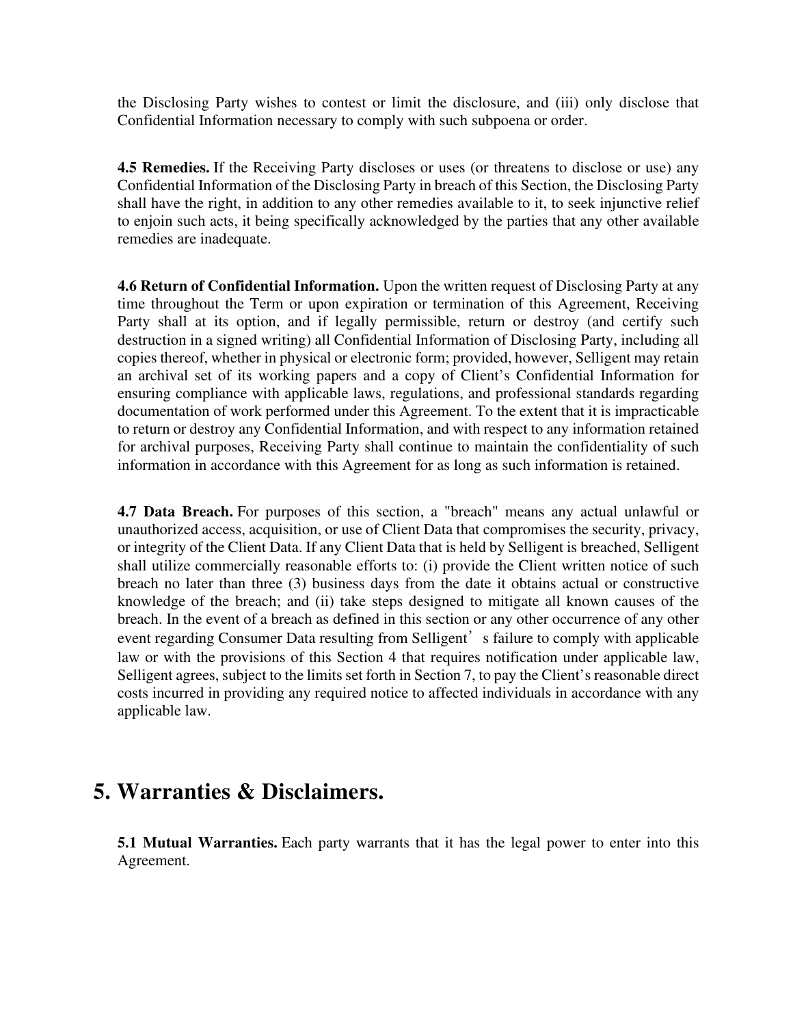the Disclosing Party wishes to contest or limit the disclosure, and (iii) only disclose that Confidential Information necessary to comply with such subpoena or order.

**4.5 Remedies.** If the Receiving Party discloses or uses (or threatens to disclose or use) any Confidential Information of the Disclosing Party in breach of this Section, the Disclosing Party shall have the right, in addition to any other remedies available to it, to seek injunctive relief to enjoin such acts, it being specifically acknowledged by the parties that any other available remedies are inadequate.

**4.6 Return of Confidential Information.** Upon the written request of Disclosing Party at any time throughout the Term or upon expiration or termination of this Agreement, Receiving Party shall at its option, and if legally permissible, return or destroy (and certify such destruction in a signed writing) all Confidential Information of Disclosing Party, including all copies thereof, whether in physical or electronic form; provided, however, Selligent may retain an archival set of its working papers and a copy of Client's Confidential Information for ensuring compliance with applicable laws, regulations, and professional standards regarding documentation of work performed under this Agreement. To the extent that it is impracticable to return or destroy any Confidential Information, and with respect to any information retained for archival purposes, Receiving Party shall continue to maintain the confidentiality of such information in accordance with this Agreement for as long as such information is retained.

**4.7 Data Breach.** For purposes of this section, a "breach" means any actual unlawful or unauthorized access, acquisition, or use of Client Data that compromises the security, privacy, or integrity of the Client Data. If any Client Data that is held by Selligent is breached, Selligent shall utilize commercially reasonable efforts to: (i) provide the Client written notice of such breach no later than three (3) business days from the date it obtains actual or constructive knowledge of the breach; and (ii) take steps designed to mitigate all known causes of the breach. In the event of a breach as defined in this section or any other occurrence of any other event regarding Consumer Data resulting from Selligent's failure to comply with applicable law or with the provisions of this Section 4 that requires notification under applicable law, Selligent agrees, subject to the limits set forth in Section 7, to pay the Client's reasonable direct costs incurred in providing any required notice to affected individuals in accordance with any applicable law.

#### **5. Warranties & Disclaimers.**

**5.1 Mutual Warranties.** Each party warrants that it has the legal power to enter into this Agreement.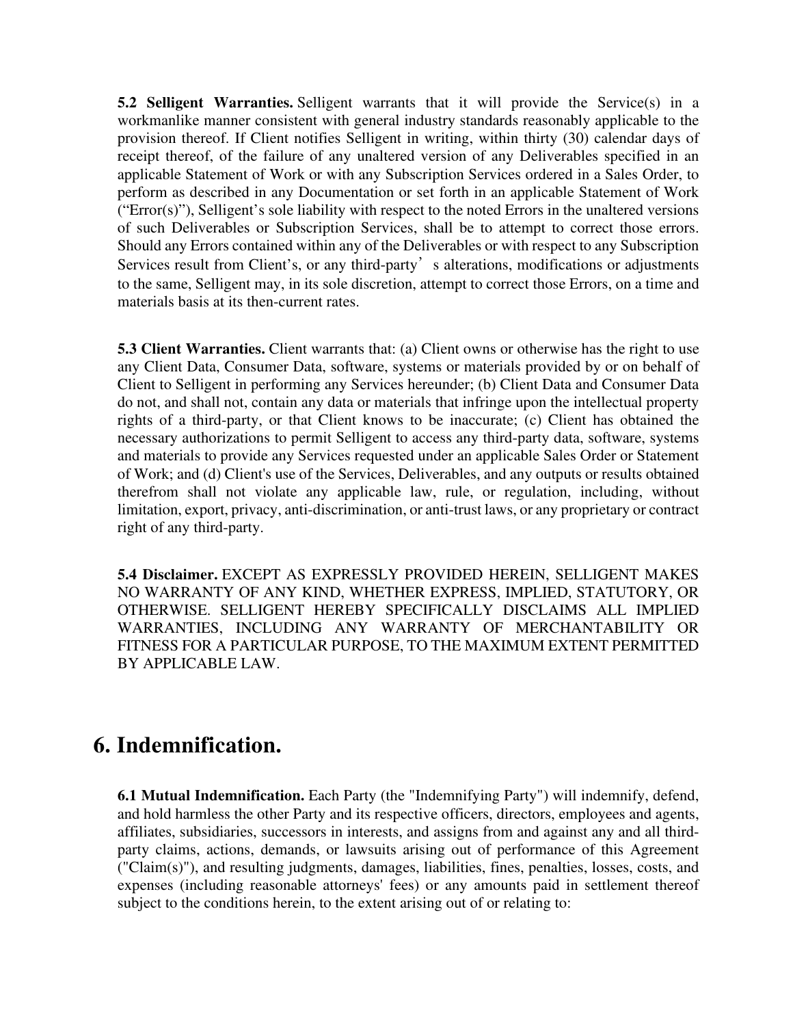**5.2 Selligent Warranties.** Selligent warrants that it will provide the Service(s) in a workmanlike manner consistent with general industry standards reasonably applicable to the provision thereof. If Client notifies Selligent in writing, within thirty (30) calendar days of receipt thereof, of the failure of any unaltered version of any Deliverables specified in an applicable Statement of Work or with any Subscription Services ordered in a Sales Order, to perform as described in any Documentation or set forth in an applicable Statement of Work ("Error(s)"), Selligent's sole liability with respect to the noted Errors in the unaltered versions of such Deliverables or Subscription Services, shall be to attempt to correct those errors. Should any Errors contained within any of the Deliverables or with respect to any Subscription Services result from Client's, or any third-party's alterations, modifications or adjustments to the same, Selligent may, in its sole discretion, attempt to correct those Errors, on a time and materials basis at its then-current rates.

**5.3 Client Warranties.** Client warrants that: (a) Client owns or otherwise has the right to use any Client Data, Consumer Data, software, systems or materials provided by or on behalf of Client to Selligent in performing any Services hereunder; (b) Client Data and Consumer Data do not, and shall not, contain any data or materials that infringe upon the intellectual property rights of a third-party, or that Client knows to be inaccurate; (c) Client has obtained the necessary authorizations to permit Selligent to access any third-party data, software, systems and materials to provide any Services requested under an applicable Sales Order or Statement of Work; and (d) Client's use of the Services, Deliverables, and any outputs or results obtained therefrom shall not violate any applicable law, rule, or regulation, including, without limitation, export, privacy, anti-discrimination, or anti-trust laws, or any proprietary or contract right of any third-party.

**5.4 Disclaimer.** EXCEPT AS EXPRESSLY PROVIDED HEREIN, SELLIGENT MAKES NO WARRANTY OF ANY KIND, WHETHER EXPRESS, IMPLIED, STATUTORY, OR OTHERWISE. SELLIGENT HEREBY SPECIFICALLY DISCLAIMS ALL IMPLIED WARRANTIES, INCLUDING ANY WARRANTY OF MERCHANTABILITY OR FITNESS FOR A PARTICULAR PURPOSE, TO THE MAXIMUM EXTENT PERMITTED BY APPLICABLE LAW.

#### **6. Indemnification.**

**6.1 Mutual Indemnification.** Each Party (the "Indemnifying Party") will indemnify, defend, and hold harmless the other Party and its respective officers, directors, employees and agents, affiliates, subsidiaries, successors in interests, and assigns from and against any and all thirdparty claims, actions, demands, or lawsuits arising out of performance of this Agreement ("Claim(s)"), and resulting judgments, damages, liabilities, fines, penalties, losses, costs, and expenses (including reasonable attorneys' fees) or any amounts paid in settlement thereof subject to the conditions herein, to the extent arising out of or relating to: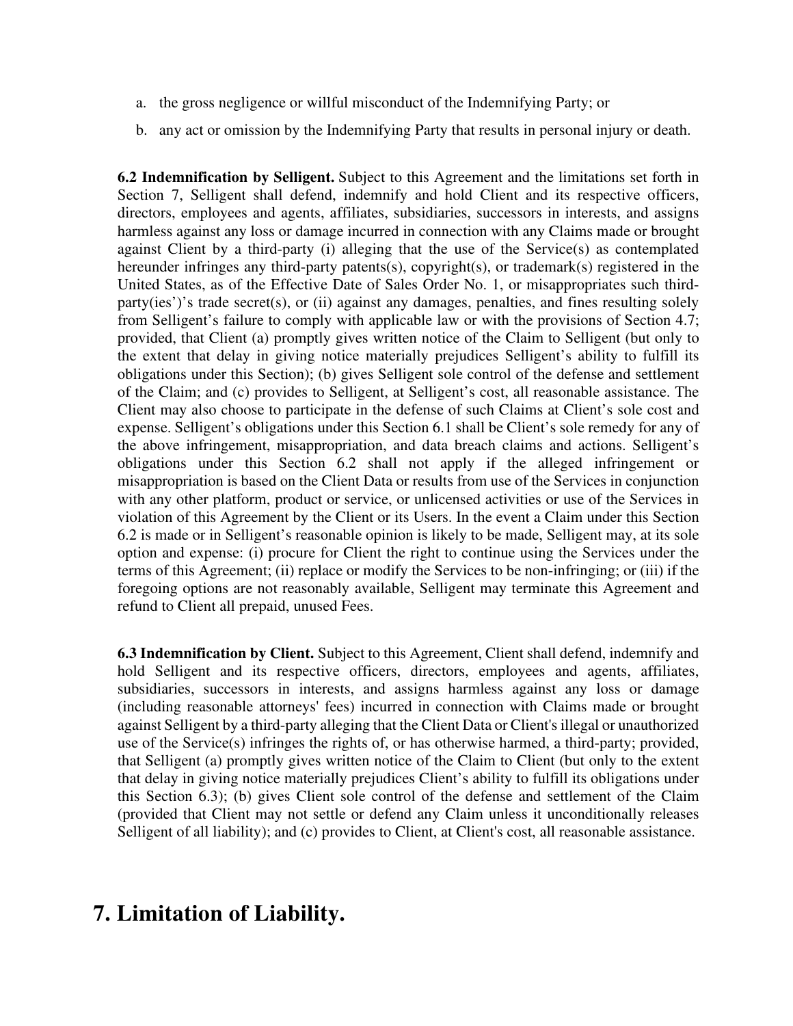- a. the gross negligence or willful misconduct of the Indemnifying Party; or
- b. any act or omission by the Indemnifying Party that results in personal injury or death.

**6.2 Indemnification by Selligent.** Subject to this Agreement and the limitations set forth in Section 7, Selligent shall defend, indemnify and hold Client and its respective officers, directors, employees and agents, affiliates, subsidiaries, successors in interests, and assigns harmless against any loss or damage incurred in connection with any Claims made or brought against Client by a third-party (i) alleging that the use of the Service(s) as contemplated hereunder infringes any third-party patents(s), copyright(s), or trademark(s) registered in the United States, as of the Effective Date of Sales Order No. 1, or misappropriates such thirdparty(ies')'s trade secret(s), or (ii) against any damages, penalties, and fines resulting solely from Selligent's failure to comply with applicable law or with the provisions of Section 4.7; provided, that Client (a) promptly gives written notice of the Claim to Selligent (but only to the extent that delay in giving notice materially prejudices Selligent's ability to fulfill its obligations under this Section); (b) gives Selligent sole control of the defense and settlement of the Claim; and (c) provides to Selligent, at Selligent's cost, all reasonable assistance. The Client may also choose to participate in the defense of such Claims at Client's sole cost and expense. Selligent's obligations under this Section 6.1 shall be Client's sole remedy for any of the above infringement, misappropriation, and data breach claims and actions. Selligent's obligations under this Section 6.2 shall not apply if the alleged infringement or misappropriation is based on the Client Data or results from use of the Services in conjunction with any other platform, product or service, or unlicensed activities or use of the Services in violation of this Agreement by the Client or its Users. In the event a Claim under this Section 6.2 is made or in Selligent's reasonable opinion is likely to be made, Selligent may, at its sole option and expense: (i) procure for Client the right to continue using the Services under the terms of this Agreement; (ii) replace or modify the Services to be non-infringing; or (iii) if the foregoing options are not reasonably available, Selligent may terminate this Agreement and refund to Client all prepaid, unused Fees.

**6.3 Indemnification by Client.** Subject to this Agreement, Client shall defend, indemnify and hold Selligent and its respective officers, directors, employees and agents, affiliates, subsidiaries, successors in interests, and assigns harmless against any loss or damage (including reasonable attorneys' fees) incurred in connection with Claims made or brought against Selligent by a third-party alleging that the Client Data or Client's illegal or unauthorized use of the Service(s) infringes the rights of, or has otherwise harmed, a third-party; provided, that Selligent (a) promptly gives written notice of the Claim to Client (but only to the extent that delay in giving notice materially prejudices Client's ability to fulfill its obligations under this Section 6.3); (b) gives Client sole control of the defense and settlement of the Claim (provided that Client may not settle or defend any Claim unless it unconditionally releases Selligent of all liability); and (c) provides to Client, at Client's cost, all reasonable assistance.

## **7. Limitation of Liability.**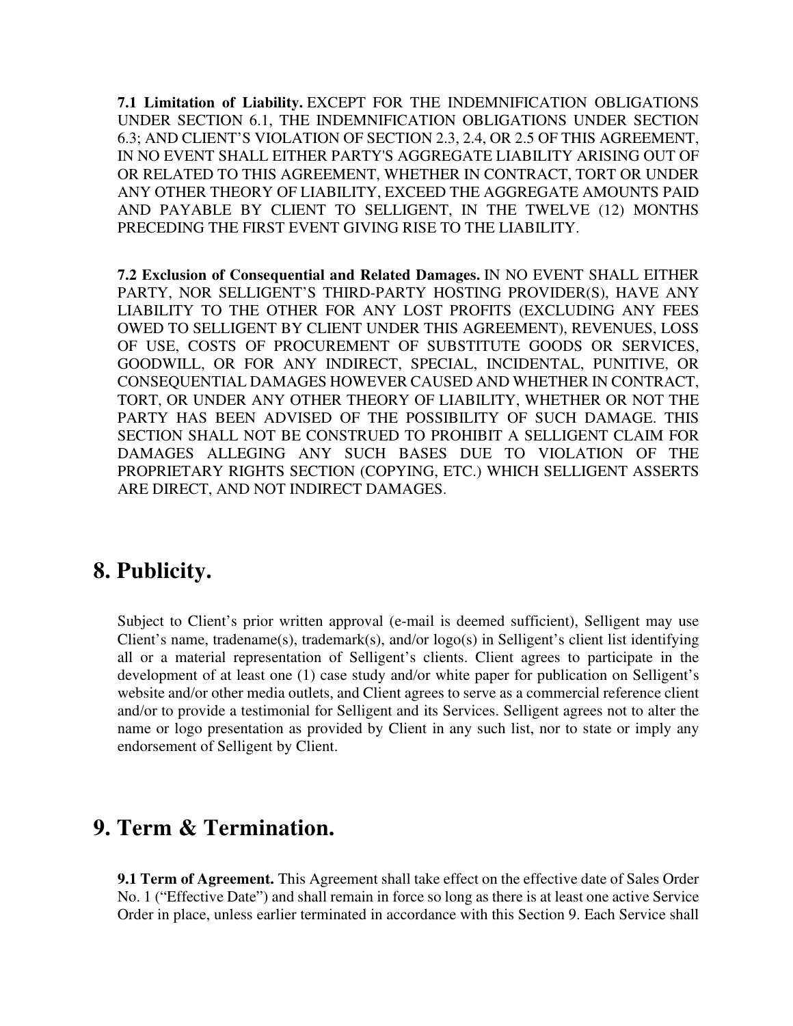**7.1 Limitation of Liability.** EXCEPT FOR THE INDEMNIFICATION OBLIGATIONS UNDER SECTION 6.1, THE INDEMNIFICATION OBLIGATIONS UNDER SECTION 6.3; AND CLIENT'S VIOLATION OF SECTION 2.3, 2.4, OR 2.5 OF THIS AGREEMENT, IN NO EVENT SHALL EITHER PARTY'S AGGREGATE LIABILITY ARISING OUT OF OR RELATED TO THIS AGREEMENT, WHETHER IN CONTRACT, TORT OR UNDER ANY OTHER THEORY OF LIABILITY, EXCEED THE AGGREGATE AMOUNTS PAID AND PAYABLE BY CLIENT TO SELLIGENT, IN THE TWELVE (12) MONTHS PRECEDING THE FIRST EVENT GIVING RISE TO THE LIABILITY.

**7.2 Exclusion of Consequential and Related Damages.** IN NO EVENT SHALL EITHER PARTY, NOR SELLIGENT'S THIRD-PARTY HOSTING PROVIDER(S), HAVE ANY LIABILITY TO THE OTHER FOR ANY LOST PROFITS (EXCLUDING ANY FEES OWED TO SELLIGENT BY CLIENT UNDER THIS AGREEMENT), REVENUES, LOSS OF USE, COSTS OF PROCUREMENT OF SUBSTITUTE GOODS OR SERVICES, GOODWILL, OR FOR ANY INDIRECT, SPECIAL, INCIDENTAL, PUNITIVE, OR CONSEQUENTIAL DAMAGES HOWEVER CAUSED AND WHETHER IN CONTRACT, TORT, OR UNDER ANY OTHER THEORY OF LIABILITY, WHETHER OR NOT THE PARTY HAS BEEN ADVISED OF THE POSSIBILITY OF SUCH DAMAGE. THIS SECTION SHALL NOT BE CONSTRUED TO PROHIBIT A SELLIGENT CLAIM FOR DAMAGES ALLEGING ANY SUCH BASES DUE TO VIOLATION OF THE PROPRIETARY RIGHTS SECTION (COPYING, ETC.) WHICH SELLIGENT ASSERTS ARE DIRECT, AND NOT INDIRECT DAMAGES.

#### **8. Publicity.**

Subject to Client's prior written approval (e-mail is deemed sufficient), Selligent may use Client's name, tradename(s), trademark(s), and/or logo(s) in Selligent's client list identifying all or a material representation of Selligent's clients. Client agrees to participate in the development of at least one (1) case study and/or white paper for publication on Selligent's website and/or other media outlets, and Client agrees to serve as a commercial reference client and/or to provide a testimonial for Selligent and its Services. Selligent agrees not to alter the name or logo presentation as provided by Client in any such list, nor to state or imply any endorsement of Selligent by Client.

### **9. Term & Termination.**

**9.1 Term of Agreement.** This Agreement shall take effect on the effective date of Sales Order No. 1 ("Effective Date") and shall remain in force so long as there is at least one active Service Order in place, unless earlier terminated in accordance with this Section 9. Each Service shall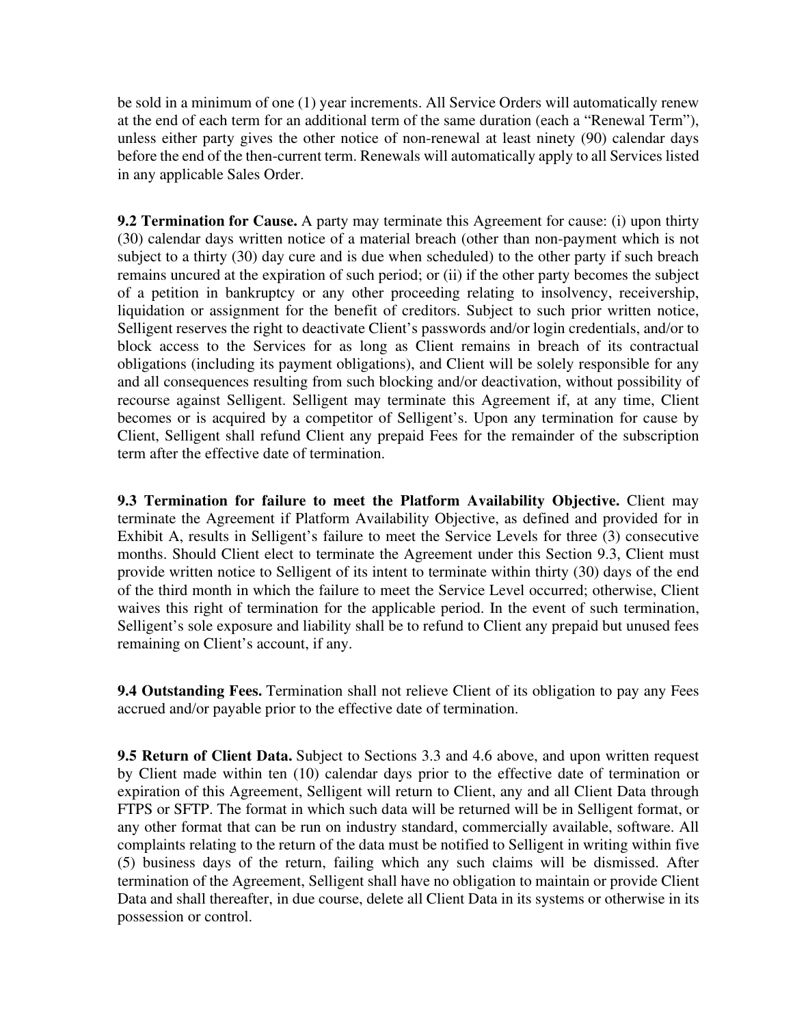be sold in a minimum of one (1) year increments. All Service Orders will automatically renew at the end of each term for an additional term of the same duration (each a "Renewal Term"), unless either party gives the other notice of non-renewal at least ninety (90) calendar days before the end of the then-current term. Renewals will automatically apply to all Services listed in any applicable Sales Order.

**9.2 Termination for Cause.** A party may terminate this Agreement for cause: (i) upon thirty (30) calendar days written notice of a material breach (other than non-payment which is not subject to a thirty (30) day cure and is due when scheduled) to the other party if such breach remains uncured at the expiration of such period; or (ii) if the other party becomes the subject of a petition in bankruptcy or any other proceeding relating to insolvency, receivership, liquidation or assignment for the benefit of creditors. Subject to such prior written notice, Selligent reserves the right to deactivate Client's passwords and/or login credentials, and/or to block access to the Services for as long as Client remains in breach of its contractual obligations (including its payment obligations), and Client will be solely responsible for any and all consequences resulting from such blocking and/or deactivation, without possibility of recourse against Selligent. Selligent may terminate this Agreement if, at any time, Client becomes or is acquired by a competitor of Selligent's. Upon any termination for cause by Client, Selligent shall refund Client any prepaid Fees for the remainder of the subscription term after the effective date of termination.

**9.3 Termination for failure to meet the Platform Availability Objective.** Client may terminate the Agreement if Platform Availability Objective, as defined and provided for in Exhibit A, results in Selligent's failure to meet the Service Levels for three (3) consecutive months. Should Client elect to terminate the Agreement under this Section 9.3, Client must provide written notice to Selligent of its intent to terminate within thirty (30) days of the end of the third month in which the failure to meet the Service Level occurred; otherwise, Client waives this right of termination for the applicable period. In the event of such termination, Selligent's sole exposure and liability shall be to refund to Client any prepaid but unused fees remaining on Client's account, if any.

**9.4 Outstanding Fees.** Termination shall not relieve Client of its obligation to pay any Fees accrued and/or payable prior to the effective date of termination.

**9.5 Return of Client Data.** Subject to Sections 3.3 and 4.6 above, and upon written request by Client made within ten (10) calendar days prior to the effective date of termination or expiration of this Agreement, Selligent will return to Client, any and all Client Data through FTPS or SFTP. The format in which such data will be returned will be in Selligent format, or any other format that can be run on industry standard, commercially available, software. All complaints relating to the return of the data must be notified to Selligent in writing within five (5) business days of the return, failing which any such claims will be dismissed. After termination of the Agreement, Selligent shall have no obligation to maintain or provide Client Data and shall thereafter, in due course, delete all Client Data in its systems or otherwise in its possession or control.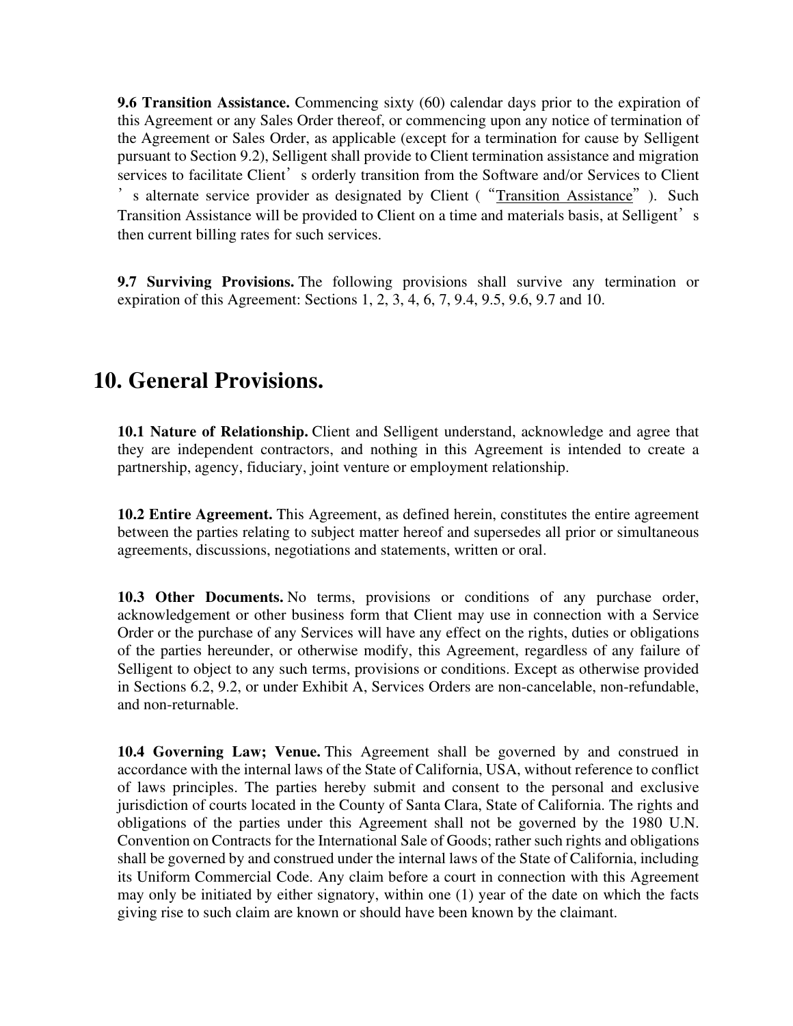**9.6 Transition Assistance.** Commencing sixty (60) calendar days prior to the expiration of this Agreement or any Sales Order thereof, or commencing upon any notice of termination of the Agreement or Sales Order, as applicable (except for a termination for cause by Selligent pursuant to Section 9.2), Selligent shall provide to Client termination assistance and migration services to facilitate Client's orderly transition from the Software and/or Services to Client 's alternate service provider as designated by Client ("Transition Assistance"). Such Transition Assistance will be provided to Client on a time and materials basis, at Selligent's then current billing rates for such services.

**9.7 Surviving Provisions.** The following provisions shall survive any termination or expiration of this Agreement: Sections 1, 2, 3, 4, 6, 7, 9.4, 9.5, 9.6, 9.7 and 10.

### **10. General Provisions.**

**10.1 Nature of Relationship.** Client and Selligent understand, acknowledge and agree that they are independent contractors, and nothing in this Agreement is intended to create a partnership, agency, fiduciary, joint venture or employment relationship.

**10.2 Entire Agreement.** This Agreement, as defined herein, constitutes the entire agreement between the parties relating to subject matter hereof and supersedes all prior or simultaneous agreements, discussions, negotiations and statements, written or oral.

**10.3 Other Documents.** No terms, provisions or conditions of any purchase order, acknowledgement or other business form that Client may use in connection with a Service Order or the purchase of any Services will have any effect on the rights, duties or obligations of the parties hereunder, or otherwise modify, this Agreement, regardless of any failure of Selligent to object to any such terms, provisions or conditions. Except as otherwise provided in Sections 6.2, 9.2, or under Exhibit A, Services Orders are non-cancelable, non-refundable, and non-returnable.

**10.4 Governing Law; Venue.** This Agreement shall be governed by and construed in accordance with the internal laws of the State of California, USA, without reference to conflict of laws principles. The parties hereby submit and consent to the personal and exclusive jurisdiction of courts located in the County of Santa Clara, State of California. The rights and obligations of the parties under this Agreement shall not be governed by the 1980 U.N. Convention on Contracts for the International Sale of Goods; rather such rights and obligations shall be governed by and construed under the internal laws of the State of California, including its Uniform Commercial Code. Any claim before a court in connection with this Agreement may only be initiated by either signatory, within one (1) year of the date on which the facts giving rise to such claim are known or should have been known by the claimant.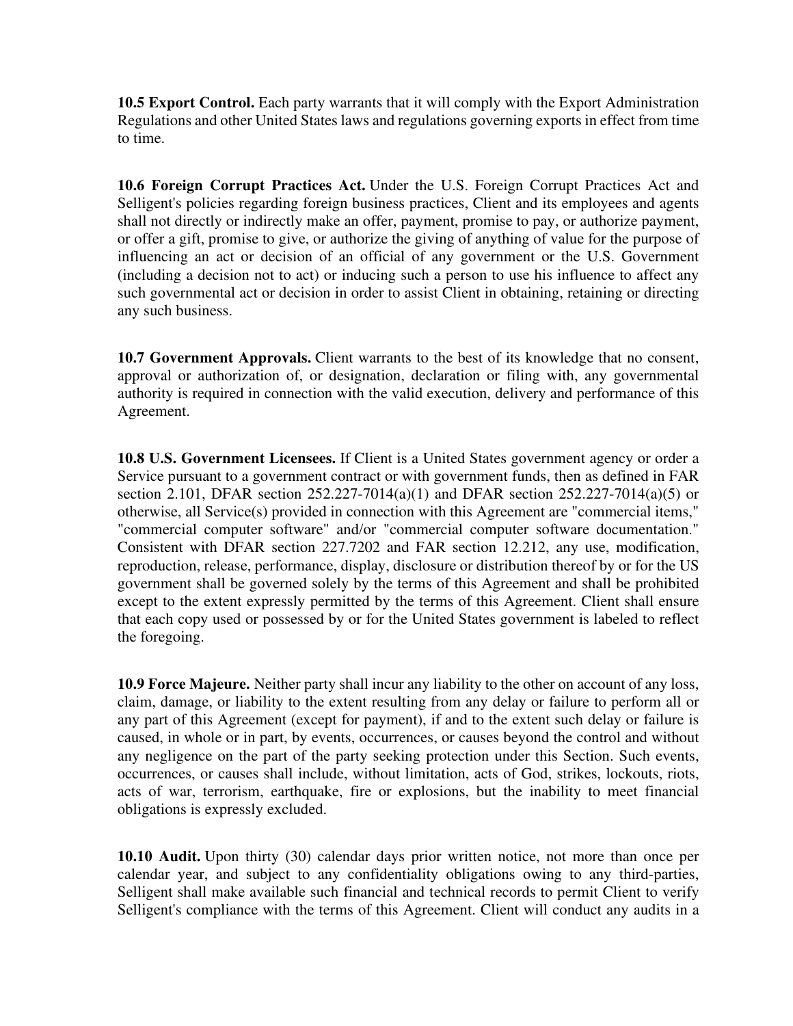**10.5 Export Control.** Each party warrants that it will comply with the Export Administration Regulations and other United States laws and regulations governing exports in effect from time to time.

**10.6 Foreign Corrupt Practices Act.** Under the U.S. Foreign Corrupt Practices Act and Selligent's policies regarding foreign business practices, Client and its employees and agents shall not directly or indirectly make an offer, payment, promise to pay, or authorize payment, or offer a gift, promise to give, or authorize the giving of anything of value for the purpose of influencing an act or decision of an official of any government or the U.S. Government (including a decision not to act) or inducing such a person to use his influence to affect any such governmental act or decision in order to assist Client in obtaining, retaining or directing any such business.

**10.7 Government Approvals.** Client warrants to the best of its knowledge that no consent, approval or authorization of, or designation, declaration or filing with, any governmental authority is required in connection with the valid execution, delivery and performance of this Agreement.

**10.8 U.S. Government Licensees.** If Client is a United States government agency or order a Service pursuant to a government contract or with government funds, then as defined in FAR section 2.101, DFAR section 252.227-7014(a)(1) and DFAR section 252.227-7014(a)(5) or otherwise, all Service(s) provided in connection with this Agreement are "commercial items," "commercial computer software" and/or "commercial computer software documentation." Consistent with DFAR section 227.7202 and FAR section 12.212, any use, modification, reproduction, release, performance, display, disclosure or distribution thereof by or for the US government shall be governed solely by the terms of this Agreement and shall be prohibited except to the extent expressly permitted by the terms of this Agreement. Client shall ensure that each copy used or possessed by or for the United States government is labeled to reflect the foregoing.

**10.9 Force Majeure.** Neither party shall incur any liability to the other on account of any loss, claim, damage, or liability to the extent resulting from any delay or failure to perform all or any part of this Agreement (except for payment), if and to the extent such delay or failure is caused, in whole or in part, by events, occurrences, or causes beyond the control and without any negligence on the part of the party seeking protection under this Section. Such events, occurrences, or causes shall include, without limitation, acts of God, strikes, lockouts, riots, acts of war, terrorism, earthquake, fire or explosions, but the inability to meet financial obligations is expressly excluded.

**10.10 Audit.** Upon thirty (30) calendar days prior written notice, not more than once per calendar year, and subject to any confidentiality obligations owing to any third-parties, Selligent shall make available such financial and technical records to permit Client to verify Selligent's compliance with the terms of this Agreement. Client will conduct any audits in a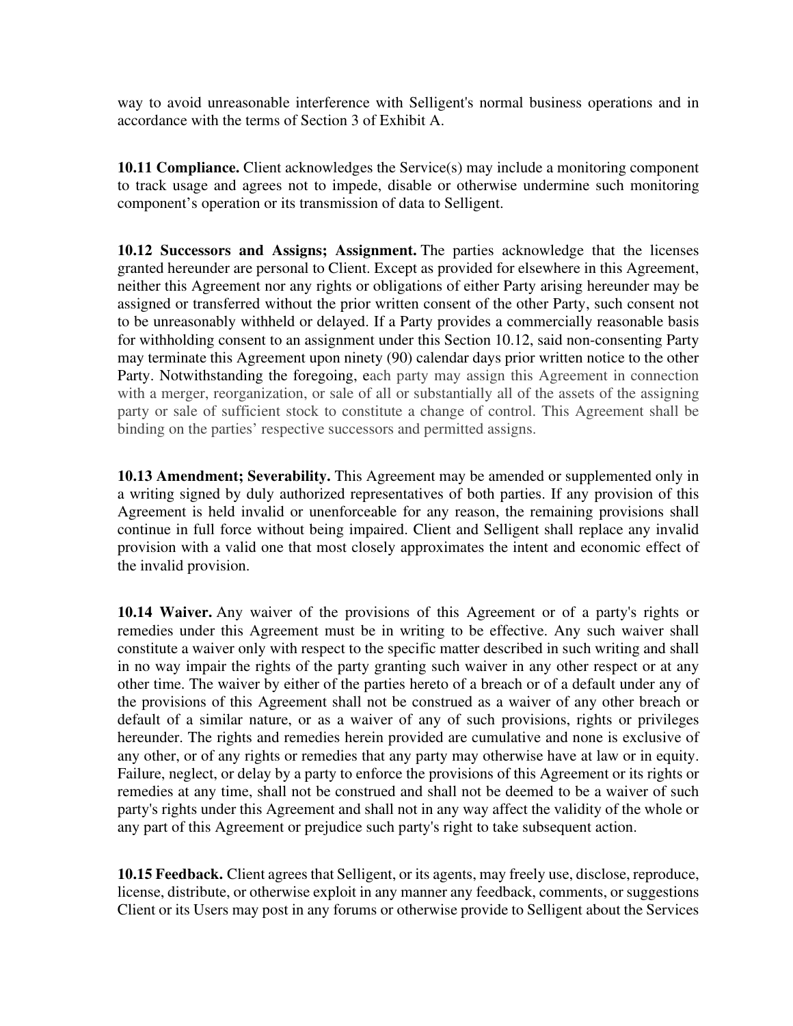way to avoid unreasonable interference with Selligent's normal business operations and in accordance with the terms of Section 3 of Exhibit A.

**10.11 Compliance.** Client acknowledges the Service(s) may include a monitoring component to track usage and agrees not to impede, disable or otherwise undermine such monitoring component's operation or its transmission of data to Selligent.

**10.12 Successors and Assigns; Assignment.** The parties acknowledge that the licenses granted hereunder are personal to Client. Except as provided for elsewhere in this Agreement, neither this Agreement nor any rights or obligations of either Party arising hereunder may be assigned or transferred without the prior written consent of the other Party, such consent not to be unreasonably withheld or delayed. If a Party provides a commercially reasonable basis for withholding consent to an assignment under this Section 10.12, said non-consenting Party may terminate this Agreement upon ninety (90) calendar days prior written notice to the other Party. Notwithstanding the foregoing, each party may assign this Agreement in connection with a merger, reorganization, or sale of all or substantially all of the assets of the assigning party or sale of sufficient stock to constitute a change of control. This Agreement shall be binding on the parties' respective successors and permitted assigns.

**10.13 Amendment; Severability.** This Agreement may be amended or supplemented only in a writing signed by duly authorized representatives of both parties. If any provision of this Agreement is held invalid or unenforceable for any reason, the remaining provisions shall continue in full force without being impaired. Client and Selligent shall replace any invalid provision with a valid one that most closely approximates the intent and economic effect of the invalid provision.

**10.14 Waiver.** Any waiver of the provisions of this Agreement or of a party's rights or remedies under this Agreement must be in writing to be effective. Any such waiver shall constitute a waiver only with respect to the specific matter described in such writing and shall in no way impair the rights of the party granting such waiver in any other respect or at any other time. The waiver by either of the parties hereto of a breach or of a default under any of the provisions of this Agreement shall not be construed as a waiver of any other breach or default of a similar nature, or as a waiver of any of such provisions, rights or privileges hereunder. The rights and remedies herein provided are cumulative and none is exclusive of any other, or of any rights or remedies that any party may otherwise have at law or in equity. Failure, neglect, or delay by a party to enforce the provisions of this Agreement or its rights or remedies at any time, shall not be construed and shall not be deemed to be a waiver of such party's rights under this Agreement and shall not in any way affect the validity of the whole or any part of this Agreement or prejudice such party's right to take subsequent action.

**10.15 Feedback.** Client agrees that Selligent, or its agents, may freely use, disclose, reproduce, license, distribute, or otherwise exploit in any manner any feedback, comments, or suggestions Client or its Users may post in any forums or otherwise provide to Selligent about the Services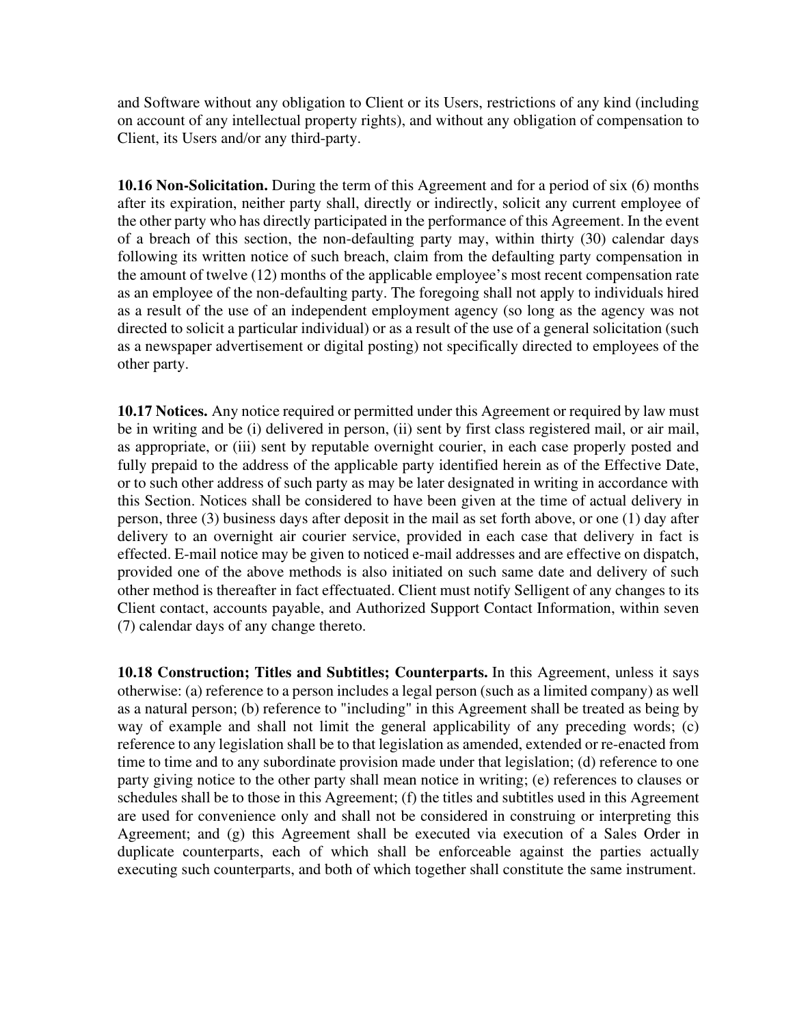and Software without any obligation to Client or its Users, restrictions of any kind (including on account of any intellectual property rights), and without any obligation of compensation to Client, its Users and/or any third-party.

**10.16 Non-Solicitation.** During the term of this Agreement and for a period of six (6) months after its expiration, neither party shall, directly or indirectly, solicit any current employee of the other party who has directly participated in the performance of this Agreement. In the event of a breach of this section, the non-defaulting party may, within thirty (30) calendar days following its written notice of such breach, claim from the defaulting party compensation in the amount of twelve (12) months of the applicable employee's most recent compensation rate as an employee of the non-defaulting party. The foregoing shall not apply to individuals hired as a result of the use of an independent employment agency (so long as the agency was not directed to solicit a particular individual) or as a result of the use of a general solicitation (such as a newspaper advertisement or digital posting) not specifically directed to employees of the other party.

**10.17 Notices.** Any notice required or permitted under this Agreement or required by law must be in writing and be (i) delivered in person, (ii) sent by first class registered mail, or air mail, as appropriate, or (iii) sent by reputable overnight courier, in each case properly posted and fully prepaid to the address of the applicable party identified herein as of the Effective Date, or to such other address of such party as may be later designated in writing in accordance with this Section. Notices shall be considered to have been given at the time of actual delivery in person, three (3) business days after deposit in the mail as set forth above, or one (1) day after delivery to an overnight air courier service, provided in each case that delivery in fact is effected. E-mail notice may be given to noticed e-mail addresses and are effective on dispatch, provided one of the above methods is also initiated on such same date and delivery of such other method is thereafter in fact effectuated. Client must notify Selligent of any changes to its Client contact, accounts payable, and Authorized Support Contact Information, within seven (7) calendar days of any change thereto.

**10.18 Construction; Titles and Subtitles; Counterparts.** In this Agreement, unless it says otherwise: (a) reference to a person includes a legal person (such as a limited company) as well as a natural person; (b) reference to "including" in this Agreement shall be treated as being by way of example and shall not limit the general applicability of any preceding words; (c) reference to any legislation shall be to that legislation as amended, extended or re-enacted from time to time and to any subordinate provision made under that legislation; (d) reference to one party giving notice to the other party shall mean notice in writing; (e) references to clauses or schedules shall be to those in this Agreement; (f) the titles and subtitles used in this Agreement are used for convenience only and shall not be considered in construing or interpreting this Agreement; and (g) this Agreement shall be executed via execution of a Sales Order in duplicate counterparts, each of which shall be enforceable against the parties actually executing such counterparts, and both of which together shall constitute the same instrument.